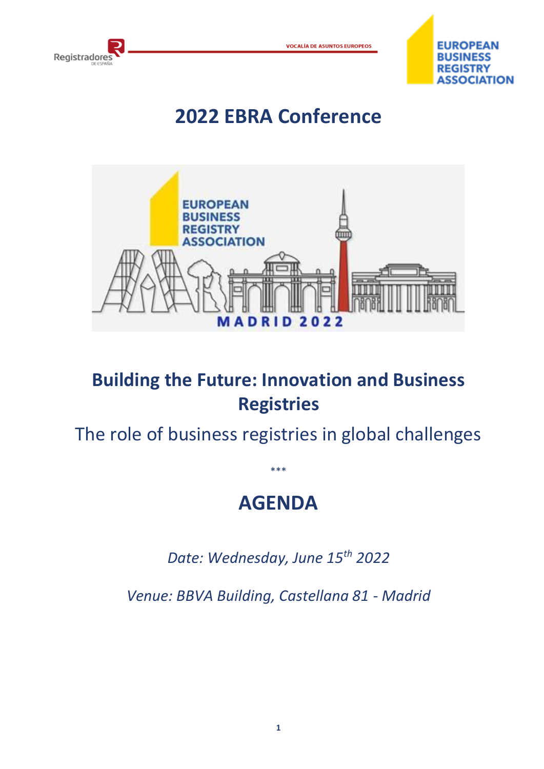



## **2022 EBRA Conference**



## **Building the Future: Innovation and Business Registries**

The role of business registries in global challenges

## **AGENDA**

\*\*\*

*Date: Wednesday, June 15th 2022*

*Venue: BBVA Building, Castellana 81 - Madrid*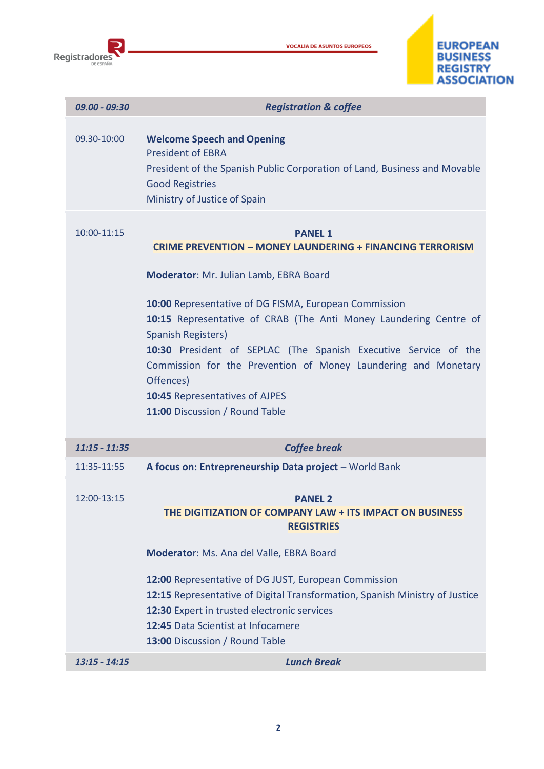





| $09.00 - 09:30$ | <b>Registration &amp; coffee</b>                                                                                                                                                                                                                                                                                                                                                                                                                                                                              |
|-----------------|---------------------------------------------------------------------------------------------------------------------------------------------------------------------------------------------------------------------------------------------------------------------------------------------------------------------------------------------------------------------------------------------------------------------------------------------------------------------------------------------------------------|
| 09.30-10:00     | <b>Welcome Speech and Opening</b><br><b>President of EBRA</b><br>President of the Spanish Public Corporation of Land, Business and Movable<br><b>Good Registries</b><br>Ministry of Justice of Spain                                                                                                                                                                                                                                                                                                          |
| 10:00-11:15     | <b>PANEL 1</b><br><b>CRIME PREVENTION - MONEY LAUNDERING + FINANCING TERRORISM</b><br>Moderator: Mr. Julian Lamb, EBRA Board<br>10:00 Representative of DG FISMA, European Commission<br>10:15 Representative of CRAB (The Anti Money Laundering Centre of<br><b>Spanish Registers)</b><br>10:30 President of SEPLAC (The Spanish Executive Service of the<br>Commission for the Prevention of Money Laundering and Monetary<br>Offences)<br>10:45 Representatives of AJPES<br>11:00 Discussion / Round Table |
| $11:15 - 11:35$ | <b>Coffee break</b>                                                                                                                                                                                                                                                                                                                                                                                                                                                                                           |
| 11:35-11:55     | A focus on: Entrepreneurship Data project - World Bank                                                                                                                                                                                                                                                                                                                                                                                                                                                        |
| 12:00-13:15     | <b>PANEL 2</b><br>THE DIGITIZATION OF COMPANY LAW + ITS IMPACT ON BUSINESS<br><b>REGISTRIES</b><br>Moderator: Ms. Ana del Valle, EBRA Board<br>12:00 Representative of DG JUST, European Commission<br>12:15 Representative of Digital Transformation, Spanish Ministry of Justice<br>12:30 Expert in trusted electronic services<br>12:45 Data Scientist at Infocamere<br>13:00 Discussion / Round Table                                                                                                     |
| $13:15 - 14:15$ | <b>Lunch Break</b>                                                                                                                                                                                                                                                                                                                                                                                                                                                                                            |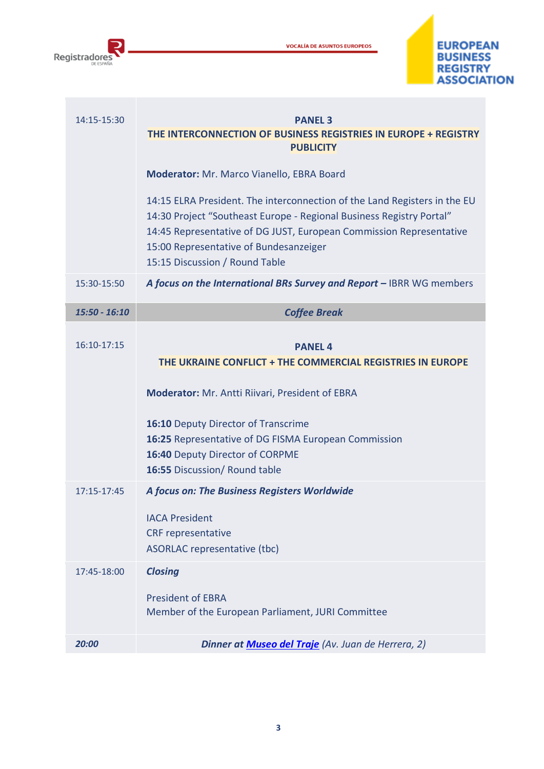

**VOCALÍA DE ASUNTOS EUROPEOS** 



| 14:15-15:30     | <b>PANEL 3</b><br>THE INTERCONNECTION OF BUSINESS REGISTRIES IN EUROPE + REGISTRY<br><b>PUBLICITY</b>                                                                                                                                                                                                |
|-----------------|------------------------------------------------------------------------------------------------------------------------------------------------------------------------------------------------------------------------------------------------------------------------------------------------------|
|                 | Moderator: Mr. Marco Vianello, EBRA Board                                                                                                                                                                                                                                                            |
|                 | 14:15 ELRA President. The interconnection of the Land Registers in the EU<br>14:30 Project "Southeast Europe - Regional Business Registry Portal"<br>14:45 Representative of DG JUST, European Commission Representative<br>15:00 Representative of Bundesanzeiger<br>15:15 Discussion / Round Table |
| 15:30-15:50     | A focus on the International BRs Survey and Report - IBRR WG members                                                                                                                                                                                                                                 |
| $15:50 - 16:10$ | <b>Coffee Break</b>                                                                                                                                                                                                                                                                                  |
| 16:10-17:15     | <b>PANEL 4</b><br>THE UKRAINE CONFLICT + THE COMMERCIAL REGISTRIES IN EUROPE                                                                                                                                                                                                                         |
|                 | Moderator: Mr. Antti Riivari, President of EBRA                                                                                                                                                                                                                                                      |
|                 | 16:10 Deputy Director of Transcrime<br>16:25 Representative of DG FISMA European Commission<br>16:40 Deputy Director of CORPME<br>16:55 Discussion/ Round table                                                                                                                                      |
| 17:15-17:45     | A focus on: The Business Registers Worldwide<br><b>IACA President</b><br><b>CRF</b> representative<br>ASORLAC representative (tbc)                                                                                                                                                                   |
| 17:45-18:00     | <b>Closing</b><br><b>President of EBRA</b><br>Member of the European Parliament, JURI Committee                                                                                                                                                                                                      |
| 20:00           | Dinner at <b>Museo del Traje</b> (Av. Juan de Herrera, 2)                                                                                                                                                                                                                                            |